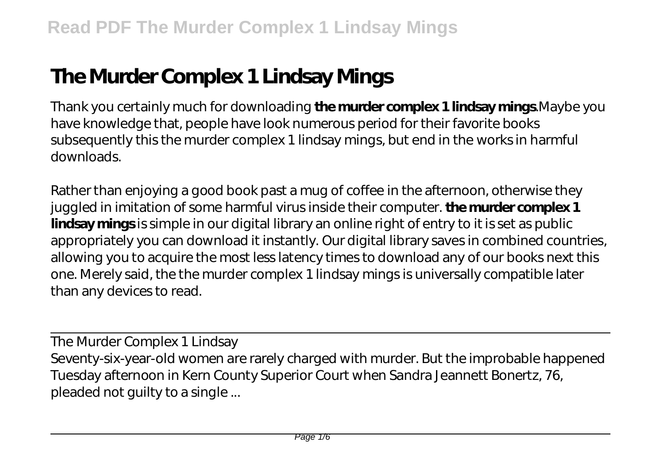## **The Murder Complex 1 Lindsay Mings**

Thank you certainly much for downloading **the murder complex 1 lindsay mings**.Maybe you have knowledge that, people have look numerous period for their favorite books subsequently this the murder complex 1 lindsay mings, but end in the works in harmful downloads.

Rather than enjoying a good book past a mug of coffee in the afternoon, otherwise they juggled in imitation of some harmful virus inside their computer. **the murder complex 1** lindsay mings is simple in our digital library an online right of entry to it is set as public appropriately you can download it instantly. Our digital library saves in combined countries, allowing you to acquire the most less latency times to download any of our books next this one. Merely said, the the murder complex 1 lindsay mings is universally compatible later than any devices to read.

The Murder Complex 1 Lindsay Seventy-six-year-old women are rarely charged with murder. But the improbable happened Tuesday afternoon in Kern County Superior Court when Sandra Jeannett Bonertz, 76, pleaded not guilty to a single ...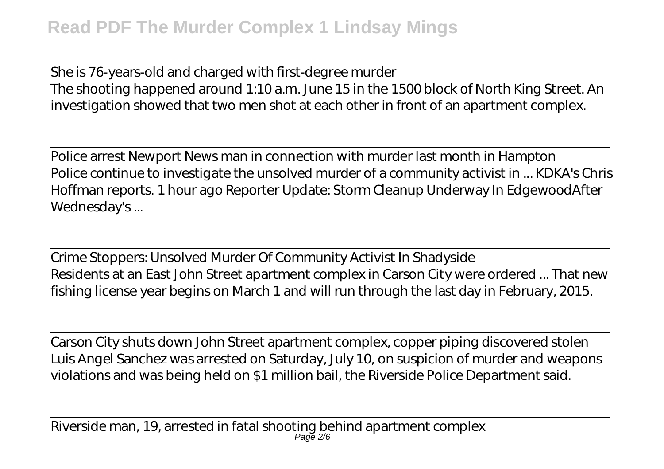She is 76-years-old and charged with first-degree murder The shooting happened around 1:10 a.m. June 15 in the 1500 block of North King Street. An investigation showed that two men shot at each other in front of an apartment complex.

Police arrest Newport News man in connection with murder last month in Hampton Police continue to investigate the unsolved murder of a community activist in ... KDKA's Chris Hoffman reports. 1 hour ago Reporter Update: Storm Cleanup Underway In EdgewoodAfter Wednesday's ...

Crime Stoppers: Unsolved Murder Of Community Activist In Shadyside Residents at an East John Street apartment complex in Carson City were ordered ... That new fishing license year begins on March 1 and will run through the last day in February, 2015.

Carson City shuts down John Street apartment complex, copper piping discovered stolen Luis Angel Sanchez was arrested on Saturday, July 10, on suspicion of murder and weapons violations and was being held on \$1 million bail, the Riverside Police Department said.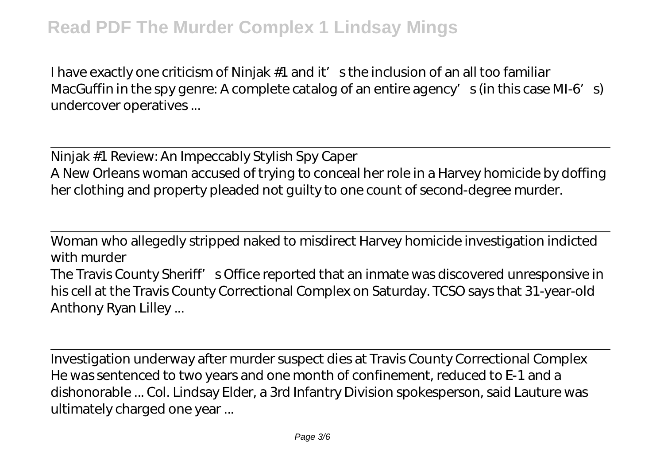I have exactly one criticism of Ninjak  $#1$  and it' sthe inclusion of an all too familiar MacGuffin in the spy genre: A complete catalog of an entire agency's (in this case MI-6's) undercover operatives ...

Ninjak #1 Review: An Impeccably Stylish Spy Caper A New Orleans woman accused of trying to conceal her role in a Harvey homicide by doffing her clothing and property pleaded not guilty to one count of second-degree murder.

Woman who allegedly stripped naked to misdirect Harvey homicide investigation indicted with murder

The Travis County Sheriff' s Office reported that an inmate was discovered unresponsive in his cell at the Travis County Correctional Complex on Saturday. TCSO says that 31-year-old Anthony Ryan Lilley ...

Investigation underway after murder suspect dies at Travis County Correctional Complex He was sentenced to two years and one month of confinement, reduced to E-1 and a dishonorable ... Col. Lindsay Elder, a 3rd Infantry Division spokesperson, said Lauture was ultimately charged one year ...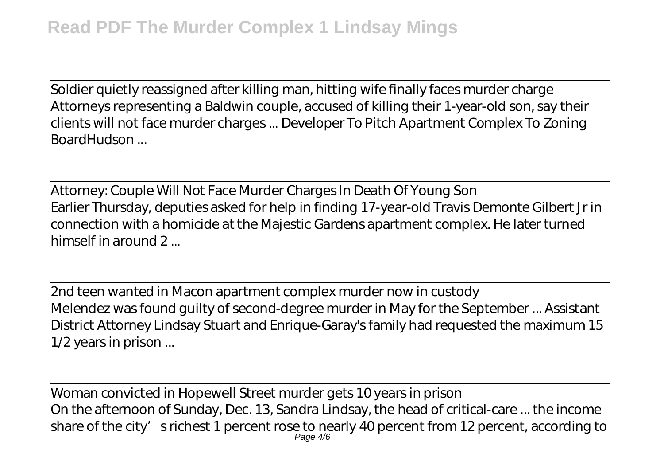Soldier quietly reassigned after killing man, hitting wife finally faces murder charge Attorneys representing a Baldwin couple, accused of killing their 1-year-old son, say their clients will not face murder charges ... Developer To Pitch Apartment Complex To Zoning BoardHudson ...

Attorney: Couple Will Not Face Murder Charges In Death Of Young Son Earlier Thursday, deputies asked for help in finding 17-year-old Travis Demonte Gilbert Jr in connection with a homicide at the Majestic Gardens apartment complex. He later turned himself in around 2

2nd teen wanted in Macon apartment complex murder now in custody Melendez was found guilty of second-degree murder in May for the September ... Assistant District Attorney Lindsay Stuart and Enrique-Garay's family had requested the maximum 15 1/2 years in prison ...

Woman convicted in Hopewell Street murder gets 10 years in prison On the afternoon of Sunday, Dec. 13, Sandra Lindsay, the head of critical-care ... the income share of the city' srichest 1 percent rose to nearly 40 percent from 12 percent, according to Page 4/6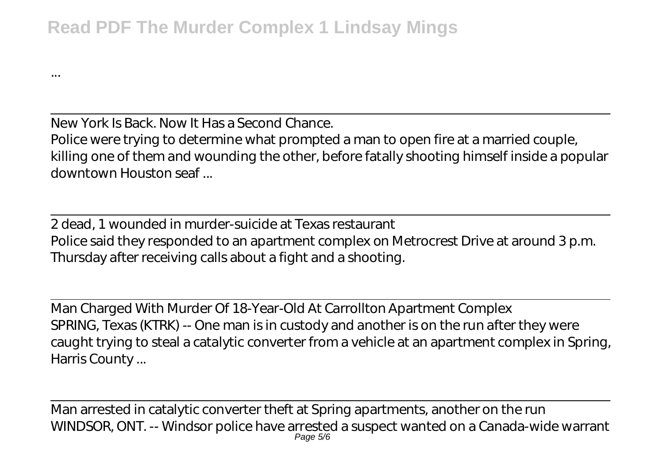...

New York Is Back. Now It Has a Second Chance. Police were trying to determine what prompted a man to open fire at a married couple, killing one of them and wounding the other, before fatally shooting himself inside a popular downtown Houston seaf ...

2 dead, 1 wounded in murder-suicide at Texas restaurant Police said they responded to an apartment complex on Metrocrest Drive at around 3 p.m. Thursday after receiving calls about a fight and a shooting.

Man Charged With Murder Of 18-Year-Old At Carrollton Apartment Complex SPRING, Texas (KTRK) -- One man is in custody and another is on the run after they were caught trying to steal a catalytic converter from a vehicle at an apartment complex in Spring, Harris County ...

Man arrested in catalytic converter theft at Spring apartments, another on the run WINDSOR, ONT. -- Windsor police have arrested a suspect wanted on a Canada-wide warrant Page 5/6